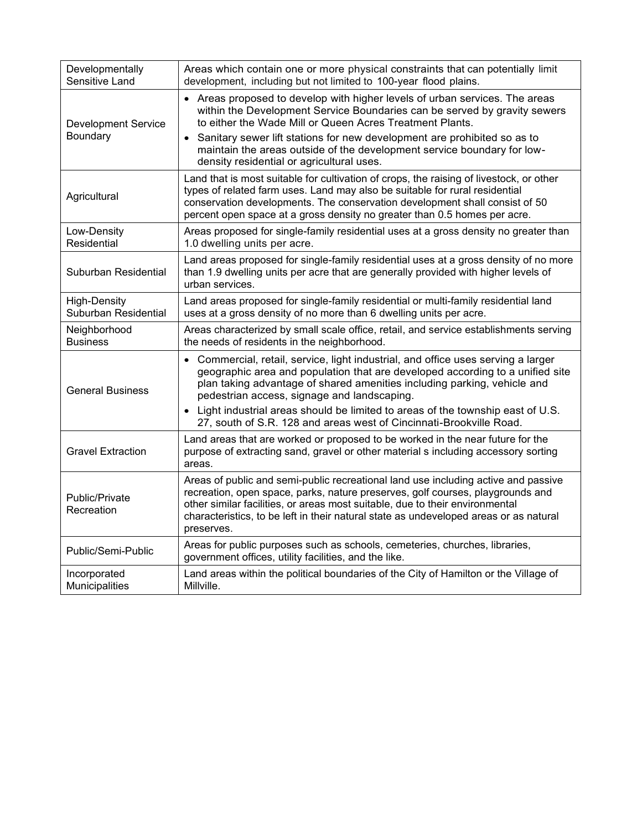| Developmentally<br>Sensitive Land           | Areas which contain one or more physical constraints that can potentially limit<br>development, including but not limited to 100-year flood plains.                                                                                                                                                                                                         |
|---------------------------------------------|-------------------------------------------------------------------------------------------------------------------------------------------------------------------------------------------------------------------------------------------------------------------------------------------------------------------------------------------------------------|
| <b>Development Service</b><br>Boundary      | • Areas proposed to develop with higher levels of urban services. The areas<br>within the Development Service Boundaries can be served by gravity sewers<br>to either the Wade Mill or Queen Acres Treatment Plants.                                                                                                                                        |
|                                             | Sanitary sewer lift stations for new development are prohibited so as to<br>maintain the areas outside of the development service boundary for low-<br>density residential or agricultural uses.                                                                                                                                                            |
| Agricultural                                | Land that is most suitable for cultivation of crops, the raising of livestock, or other<br>types of related farm uses. Land may also be suitable for rural residential<br>conservation developments. The conservation development shall consist of 50<br>percent open space at a gross density no greater than 0.5 homes per acre.                          |
| Low-Density<br>Residential                  | Areas proposed for single-family residential uses at a gross density no greater than<br>1.0 dwelling units per acre.                                                                                                                                                                                                                                        |
| Suburban Residential                        | Land areas proposed for single-family residential uses at a gross density of no more<br>than 1.9 dwelling units per acre that are generally provided with higher levels of<br>urban services.                                                                                                                                                               |
| <b>High-Density</b><br>Suburban Residential | Land areas proposed for single-family residential or multi-family residential land<br>uses at a gross density of no more than 6 dwelling units per acre.                                                                                                                                                                                                    |
| Neighborhood<br><b>Business</b>             | Areas characterized by small scale office, retail, and service establishments serving<br>the needs of residents in the neighborhood.                                                                                                                                                                                                                        |
| <b>General Business</b>                     | • Commercial, retail, service, light industrial, and office uses serving a larger<br>geographic area and population that are developed according to a unified site<br>plan taking advantage of shared amenities including parking, vehicle and<br>pedestrian access, signage and landscaping.                                                               |
|                                             | Light industrial areas should be limited to areas of the township east of U.S.<br>$\bullet$<br>27, south of S.R. 128 and areas west of Cincinnati-Brookville Road.                                                                                                                                                                                          |
| <b>Gravel Extraction</b>                    | Land areas that are worked or proposed to be worked in the near future for the<br>purpose of extracting sand, gravel or other material s including accessory sorting<br>areas.                                                                                                                                                                              |
| Public/Private<br>Recreation                | Areas of public and semi-public recreational land use including active and passive<br>recreation, open space, parks, nature preserves, golf courses, playgrounds and<br>other similar facilities, or areas most suitable, due to their environmental<br>characteristics, to be left in their natural state as undeveloped areas or as natural<br>preserves. |
| Public/Semi-Public                          | Areas for public purposes such as schools, cemeteries, churches, libraries,<br>government offices, utility facilities, and the like.                                                                                                                                                                                                                        |
| Incorporated<br>Municipalities              | Land areas within the political boundaries of the City of Hamilton or the Village of<br>Millville.                                                                                                                                                                                                                                                          |